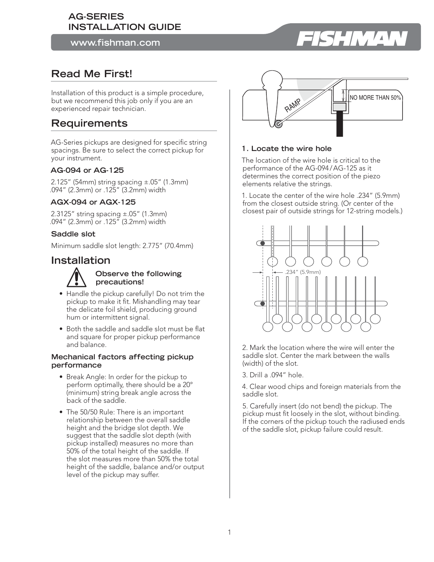### **AG-SERIES INSTALLATION GUIDE**

**www.fishman.com**

# **Read Me First!**

Installation of this product is a simple procedure, but we recommend this job only if you are an experienced repair technician.

## **Requirements**

AG-Series pickups are designed for specific string spacings. Be sure to select the correct pickup for your instrument.

#### **AG-094 or AG-125**

2.125" (54mm) string spacing ±.05" (1.3mm) .094" (2.3mm) or .125" (3.2mm) width

#### **AGX-094 or AGX-125**

2.3125" string spacing  $\pm$ .05" (1.3mm) .094" (2.3mm) or .125" (3.2mm) width

#### **Saddle slot**

Minimum saddle slot length: 2.775" (70.4mm)

## **Installation**



#### **Observe the following precautions!**

- Handle the pickup carefully! Do not trim the pickup to make it fit. Mishandling may tear the delicate foil shield, producing ground hum or intermittent signal.
- Both the saddle and saddle slot must be flat and square for proper pickup performance and balance.

#### **Mechanical factors affecting pickup performance**

- Break Angle: In order for the pickup to perform optimally, there should be a 20° (minimum) string break angle across the back of the saddle.
- The 50/50 Rule: There is an important relationship between the overall saddle height and the bridge slot depth. We suggest that the saddle slot depth (with pickup installed) measures no more than 50% of the total height of the saddle. If the slot measures more than 50% the total height of the saddle, balance and/or output level of the pickup may suffer.



#### **1. Locate the wire hole**

The location of the wire hole is critical to the performance of the AG-094 / AG-125 as it determines the correct position of the piezo elements relative the strings.

1. Locate the center of the wire hole .234" (5.9mm) from the closest outside string. (Or center of the closest pair of outside strings for 12-string models.)



2. Mark the location where the wire will enter the saddle slot. Center the mark between the walls (width) of the slot.

3. Drill a .094" hole.

4. Clear wood chips and foreign materials from the saddle slot.

5. Carefully insert (do not bend) the pickup. The pickup must fit loosely in the slot, without binding. If the corners of the pickup touch the radiused ends of the saddle slot, pickup failure could result.